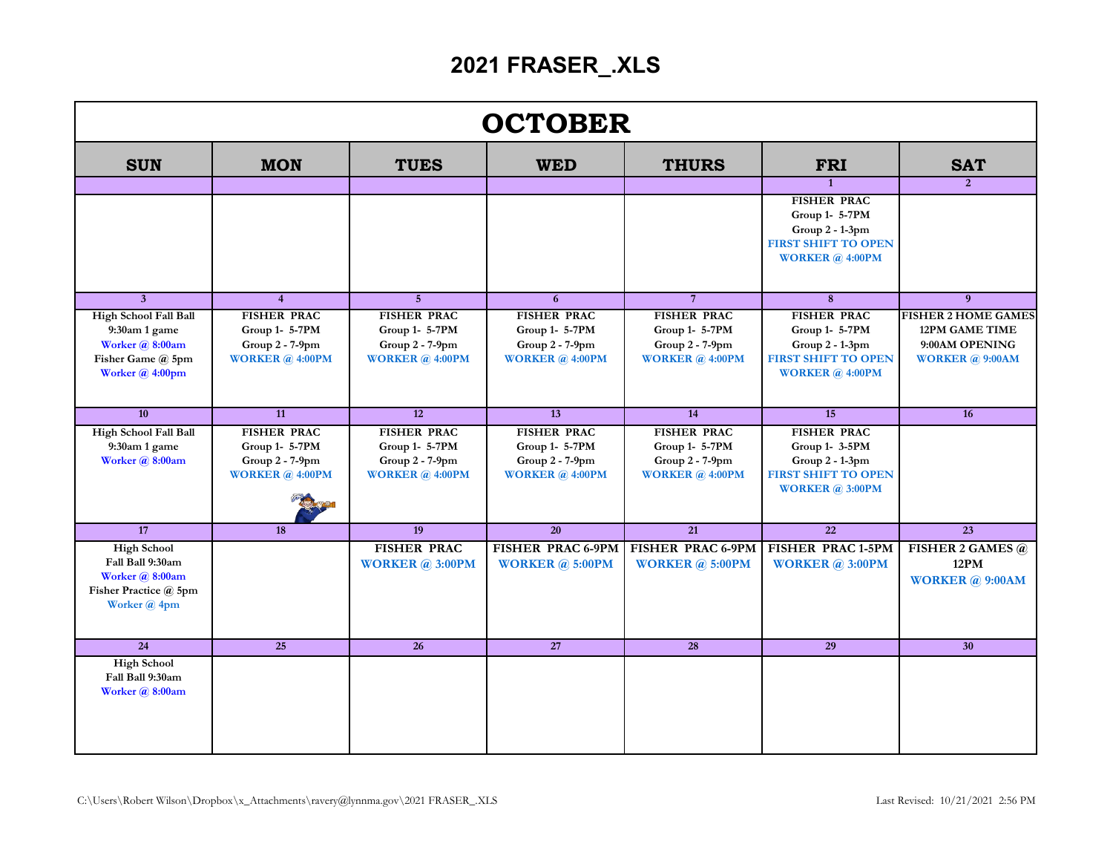## **2021 FRASER\_.XLS**

| <b>OCTOBER</b>                                                                                           |                                                                                     |                                                                                       |                                                                                   |                                                                                     |                                                                                                                     |                                                                                            |  |  |  |  |
|----------------------------------------------------------------------------------------------------------|-------------------------------------------------------------------------------------|---------------------------------------------------------------------------------------|-----------------------------------------------------------------------------------|-------------------------------------------------------------------------------------|---------------------------------------------------------------------------------------------------------------------|--------------------------------------------------------------------------------------------|--|--|--|--|
| <b>SUN</b>                                                                                               | <b>MON</b>                                                                          | <b>TUES</b>                                                                           | <b>WED</b>                                                                        | <b>THURS</b>                                                                        | <b>FRI</b>                                                                                                          | <b>SAT</b>                                                                                 |  |  |  |  |
|                                                                                                          |                                                                                     |                                                                                       |                                                                                   |                                                                                     | $\mathbf{1}$                                                                                                        | $\overline{2}$                                                                             |  |  |  |  |
|                                                                                                          |                                                                                     |                                                                                       |                                                                                   |                                                                                     | <b>FISHER PRAC</b><br>Group 1- 5-7PM<br>Group 2 - 1-3pm<br><b>FIRST SHIFT TO OPEN</b><br><b>WORKER</b> @ 4:00PM     |                                                                                            |  |  |  |  |
| $\overline{3}$                                                                                           | $\overline{4}$                                                                      | 5 <sup>5</sup>                                                                        | 6                                                                                 | $7\overline{ }$                                                                     | 8                                                                                                                   | 9                                                                                          |  |  |  |  |
| High School Fall Ball<br>$9:30$ am 1 game<br>Worker @ 8:00am<br>Fisher Game @ 5pm<br>Worker $(a)$ 4:00pm | <b>FISHER PRAC</b><br>Group 1- 5-7PM<br>Group 2 - 7-9pm<br><b>WORKER</b> $@$ 4:00PM | <b>FISHER PRAC</b><br>Group 1- 5-7PM<br>$Group 2 - 7-9pm$<br><b>WORKER</b> $@$ 4:00PM | <b>FISHER PRAC</b><br>Group 1- 5-7PM<br>Group 2 - 7-9pm<br><b>WORKER</b> @ 4:00PM | <b>FISHER PRAC</b><br>Group 1- 5-7PM<br>Group 2 - 7-9pm<br><b>WORKER</b> $@$ 4:00PM | <b>FISHER PRAC</b><br>Group $1-5-7$ PM<br>$Group 2-1-3pm$<br><b>FIRST SHIFT TO OPEN</b><br><b>WORKER</b> $@$ 4:00PM | <b>FISHER 2 HOME GAMES</b><br>12PM GAME TIME<br>9:00AM OPENING<br><b>WORKER</b> $@$ 9:00AM |  |  |  |  |
| 10                                                                                                       | $\overline{11}$                                                                     | $\overline{12}$                                                                       | 13                                                                                | 14                                                                                  | 15                                                                                                                  | 16                                                                                         |  |  |  |  |
| <b>High School Fall Ball</b><br>$9:30$ am 1 game<br>Worker @ 8:00am                                      | <b>FISHER PRAC</b><br>Group 1- 5-7PM<br>Group 2 - 7-9pm<br>WORKER $@$ 4:00PM        | <b>FISHER PRAC</b><br>Group 1- 5-7PM<br>$Group 2 - 7-9pm$<br>WORKER $@$ 4:00PM        | <b>FISHER PRAC</b><br>Group 1- 5-7PM<br>Group 2 - 7-9pm<br><b>WORKER @ 4:00PM</b> | <b>FISHER PRAC</b><br>Group 1- 5-7PM<br>$Group 2 - 7-9pm$<br><b>WORKER</b> @ 4:00PM | <b>FISHER PRAC</b><br>Group 1- 3-5PM<br>$Group 2-1-3pm$<br><b>FIRST SHIFT TO OPEN</b><br><b>WORKER @ 3:00PM</b>     |                                                                                            |  |  |  |  |
| 17                                                                                                       | 18                                                                                  | 19                                                                                    | 20                                                                                | 21                                                                                  | $\overline{22}$                                                                                                     | 23                                                                                         |  |  |  |  |
| <b>High School</b><br>Fall Ball 9:30am<br>Worker @ 8:00am<br>Fisher Practice @ 5pm<br>Worker @ 4pm       |                                                                                     | <b>FISHER PRAC</b><br><b>WORKER</b> $\widehat{a}$ 3:00PM                              | <b>FISHER PRAC 6-9PM</b><br><b>WORKER</b> $\omega$ 5:00PM                         | <b>FISHER PRAC 6-9PM</b><br><b>WORKER</b> $@$ 5:00PM                                | <b>FISHER PRAC 1-5PM</b><br><b>WORKER</b> $\widehat{a}$ 3:00PM                                                      | <b>FISHER 2 GAMES @</b><br>12PM<br><b>WORKER</b> @ 9:00AM                                  |  |  |  |  |
| $\overline{24}$                                                                                          | $\overline{25}$                                                                     | 26                                                                                    | $\overline{27}$                                                                   | 28                                                                                  | $\overline{29}$                                                                                                     | $\overline{30}$                                                                            |  |  |  |  |
| <b>High School</b><br>Fall Ball 9:30am<br>Worker @ 8:00am                                                |                                                                                     |                                                                                       |                                                                                   |                                                                                     |                                                                                                                     |                                                                                            |  |  |  |  |